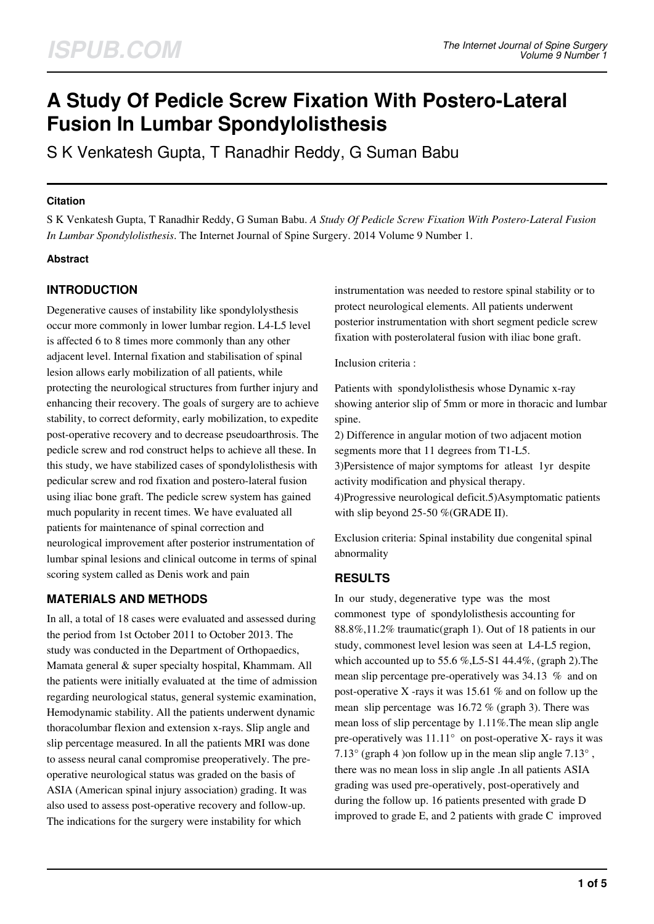# **A Study Of Pedicle Screw Fixation With Postero-Lateral Fusion In Lumbar Spondylolisthesis**

S K Venkatesh Gupta, T Ranadhir Reddy, G Suman Babu

#### **Citation**

S K Venkatesh Gupta, T Ranadhir Reddy, G Suman Babu. *A Study Of Pedicle Screw Fixation With Postero-Lateral Fusion In Lumbar Spondylolisthesis*. The Internet Journal of Spine Surgery. 2014 Volume 9 Number 1.

#### **Abstract**

## **INTRODUCTION**

Degenerative causes of instability like spondylolysthesis occur more commonly in lower lumbar region. L4-L5 level is affected 6 to 8 times more commonly than any other adjacent level. Internal fixation and stabilisation of spinal lesion allows early mobilization of all patients, while protecting the neurological structures from further injury and enhancing their recovery. The goals of surgery are to achieve stability, to correct deformity, early mobilization, to expedite post-operative recovery and to decrease pseudoarthrosis. The pedicle screw and rod construct helps to achieve all these. In this study, we have stabilized cases of spondylolisthesis with pedicular screw and rod fixation and postero-lateral fusion using iliac bone graft. The pedicle screw system has gained much popularity in recent times. We have evaluated all patients for maintenance of spinal correction and neurological improvement after posterior instrumentation of lumbar spinal lesions and clinical outcome in terms of spinal scoring system called as Denis work and pain

## **MATERIALS AND METHODS**

In all, a total of 18 cases were evaluated and assessed during the period from 1st October 2011 to October 2013. The study was conducted in the Department of Orthopaedics, Mamata general & super specialty hospital, Khammam. All the patients were initially evaluated at the time of admission regarding neurological status, general systemic examination, Hemodynamic stability. All the patients underwent dynamic thoracolumbar flexion and extension x-rays. Slip angle and slip percentage measured. In all the patients MRI was done to assess neural canal compromise preoperatively. The preoperative neurological status was graded on the basis of ASIA (American spinal injury association) grading. It was also used to assess post-operative recovery and follow-up. The indications for the surgery were instability for which

instrumentation was needed to restore spinal stability or to protect neurological elements. All patients underwent posterior instrumentation with short segment pedicle screw fixation with posterolateral fusion with iliac bone graft.

Inclusion criteria :

Patients with spondylolisthesis whose Dynamic x-ray showing anterior slip of 5mm or more in thoracic and lumbar spine.

2) Difference in angular motion of two adjacent motion segments more that 11 degrees from T1-L5.

3)Persistence of major symptoms for atleast 1yr despite activity modification and physical therapy.

4)Progressive neurological deficit.5)Asymptomatic patients with slip beyond 25-50 %(GRADE II).

Exclusion criteria: Spinal instability due congenital spinal abnormality

## **RESULTS**

In our study, degenerative type was the most commonest type of spondylolisthesis accounting for 88.8%,11.2% traumatic(graph 1). Out of 18 patients in our study, commonest level lesion was seen at L4-L5 region, which accounted up to  $55.6$  %, L5-S1 44.4%, (graph 2). The mean slip percentage pre-operatively was 34.13 % and on post-operative X -rays it was 15.61 % and on follow up the mean slip percentage was 16.72 % (graph 3). There was mean loss of slip percentage by 1.11%.The mean slip angle pre-operatively was  $11.11^{\circ}$  on post-operative X- rays it was 7.13 $\degree$  (graph 4) on follow up in the mean slip angle 7.13 $\degree$ , there was no mean loss in slip angle .In all patients ASIA grading was used pre-operatively, post-operatively and during the follow up. 16 patients presented with grade D improved to grade E, and 2 patients with grade C improved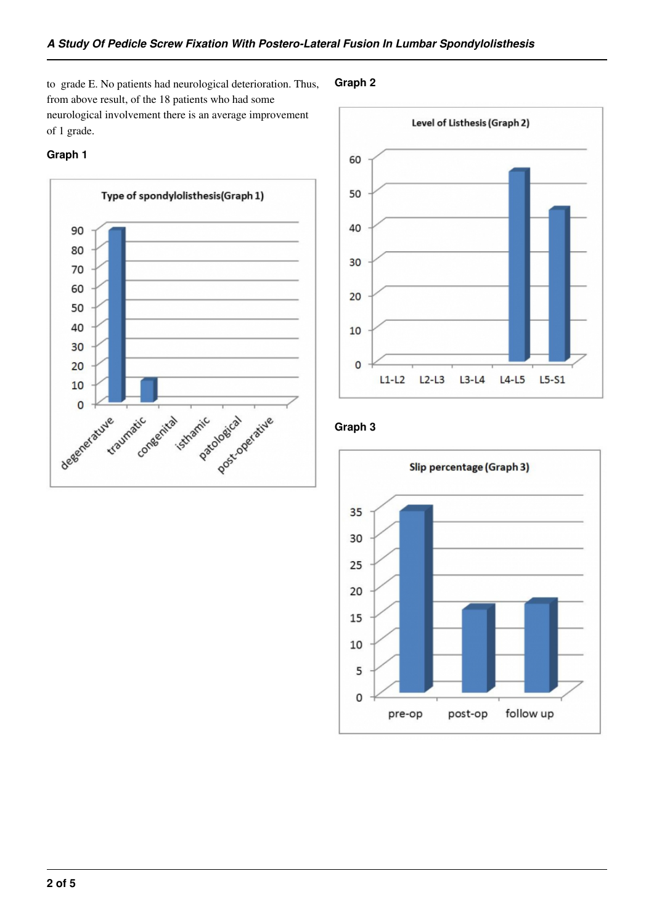to grade E. No patients had neurological deterioration. Thus, from above result, of the 18 patients who had some neurological involvement there is an average improvement of 1 grade.

#### **Graph 1**



#### **Graph 2**



## **Graph 3**

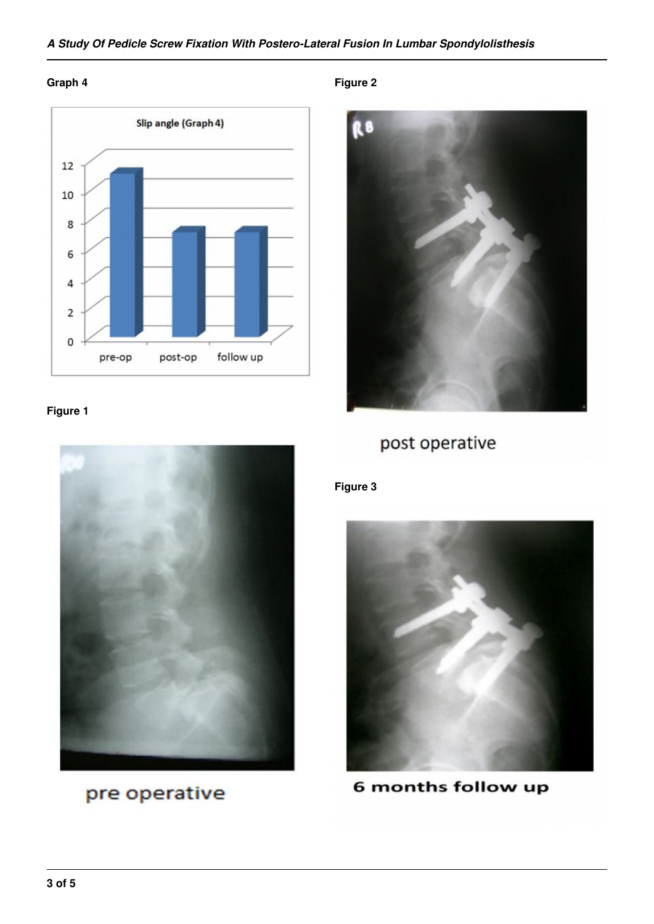## *A Study Of Pedicle Screw Fixation With Postero-Lateral Fusion In Lumbar Spondylolisthesis*

#### **Graph 4**



#### **Figure 1**



pre operative

**Figure 2**



## post operative

## **Figure 3**



6 months follow up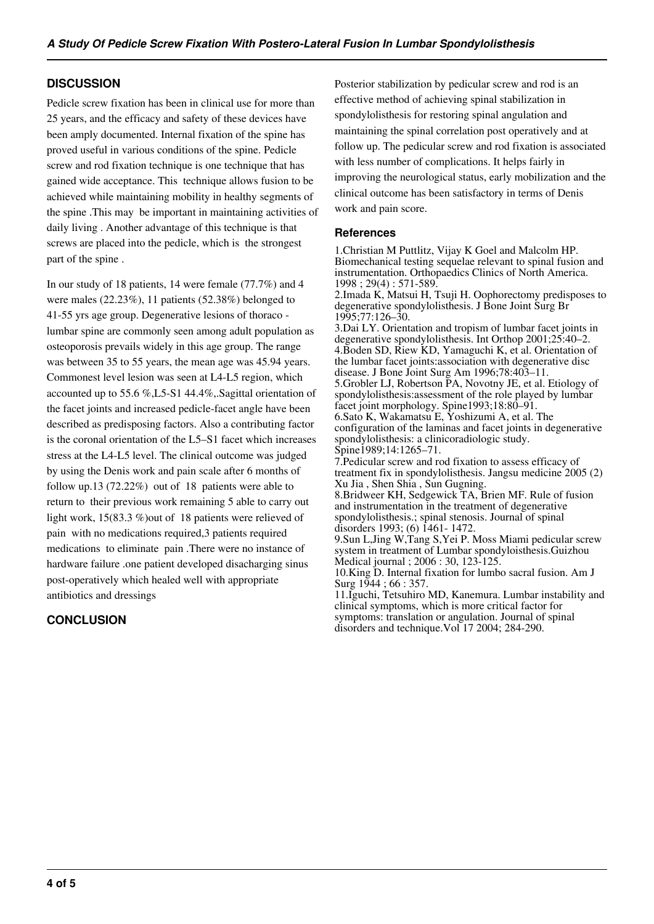#### **DISCUSSION**

Pedicle screw fixation has been in clinical use for more than 25 years, and the efficacy and safety of these devices have been amply documented. Internal fixation of the spine has proved useful in various conditions of the spine. Pedicle screw and rod fixation technique is one technique that has gained wide acceptance. This technique allows fusion to be achieved while maintaining mobility in healthy segments of the spine .This may be important in maintaining activities of daily living . Another advantage of this technique is that screws are placed into the pedicle, which is the strongest part of the spine .

In our study of 18 patients, 14 were female (77.7%) and 4 were males (22.23%), 11 patients (52.38%) belonged to 41-55 yrs age group. Degenerative lesions of thoraco lumbar spine are commonly seen among adult population as osteoporosis prevails widely in this age group. The range was between 35 to 55 years, the mean age was 45.94 years. Commonest level lesion was seen at L4-L5 region, which accounted up to 55.6 %,L5-S1 44.4%,.Sagittal orientation of the facet joints and increased pedicle-facet angle have been described as predisposing factors. Also a contributing factor is the coronal orientation of the L5–S1 facet which increases stress at the L4-L5 level. The clinical outcome was judged by using the Denis work and pain scale after 6 months of follow up.13 (72.22%) out of 18 patients were able to return to their previous work remaining 5 able to carry out light work, 15(83.3 %)out of 18 patients were relieved of pain with no medications required,3 patients required medications to eliminate pain .There were no instance of hardware failure .one patient developed disacharging sinus post-operatively which healed well with appropriate antibiotics and dressings

#### **CONCLUSION**

Posterior stabilization by pedicular screw and rod is an effective method of achieving spinal stabilization in spondylolisthesis for restoring spinal angulation and maintaining the spinal correlation post operatively and at follow up. The pedicular screw and rod fixation is associated with less number of complications. It helps fairly in improving the neurological status, early mobilization and the clinical outcome has been satisfactory in terms of Denis work and pain score.

#### **References**

1.Christian M Puttlitz, Vijay K Goel and Malcolm HP. Biomechanical testing sequelae relevant to spinal fusion and instrumentation. Orthopaedics Clinics of North America. 1998 ; 29(4) : 571-589.

2.Imada K, Matsui H, Tsuji H. Oophorectomy predisposes to degenerative spondylolisthesis. J Bone Joint Surg Br 1995;77:126–30.

3.Dai LY. Orientation and tropism of lumbar facet joints in degenerative spondylolisthesis. Int Orthop 2001;25:40–2. 4.Boden SD, Riew KD, Yamaguchi K, et al. Orientation of the lumbar facet joints:association with degenerative disc disease. J Bone Joint Surg Am 1996;78:403–11.

5.Grobler LJ, Robertson PA, Novotny JE, et al. Etiology of spondylolisthesis:assessment of the role played by lumbar facet joint morphology. Spine1993;18:80–91. 6.Sato K, Wakamatsu E, Yoshizumi A, et al. The

configuration of the laminas and facet joints in degenerative spondylolisthesis: a clinicoradiologic study. Spine1989;14:1265–71.

7.Pedicular screw and rod fixation to assess efficacy of treatment fix in spondylolisthesis. Jangsu medicine 2005 (2) Xu Jia , Shen Shia , Sun Gugning.

8.Bridweer KH, Sedgewick TA, Brien MF. Rule of fusion and instrumentation in the treatment of degenerative spondylolisthesis.; spinal stenosis. Journal of spinal disorders 1993; (6) 1461- 1472.

9.Sun L,Jing W,Tang S,Yei P. Moss Miami pedicular screw system in treatment of Lumbar spondyloisthesis.Guizhou Medical journal ; 2006 : 30, 123-125.

10.King D. Internal fixation for lumbo sacral fusion. Am J Surg 1944 ; 66 : 357.

11.Iguchi, Tetsuhiro MD, Kanemura. Lumbar instability and clinical symptoms, which is more critical factor for symptoms: translation or angulation. Journal of spinal disorders and technique.Vol 17 2004; 284-290.